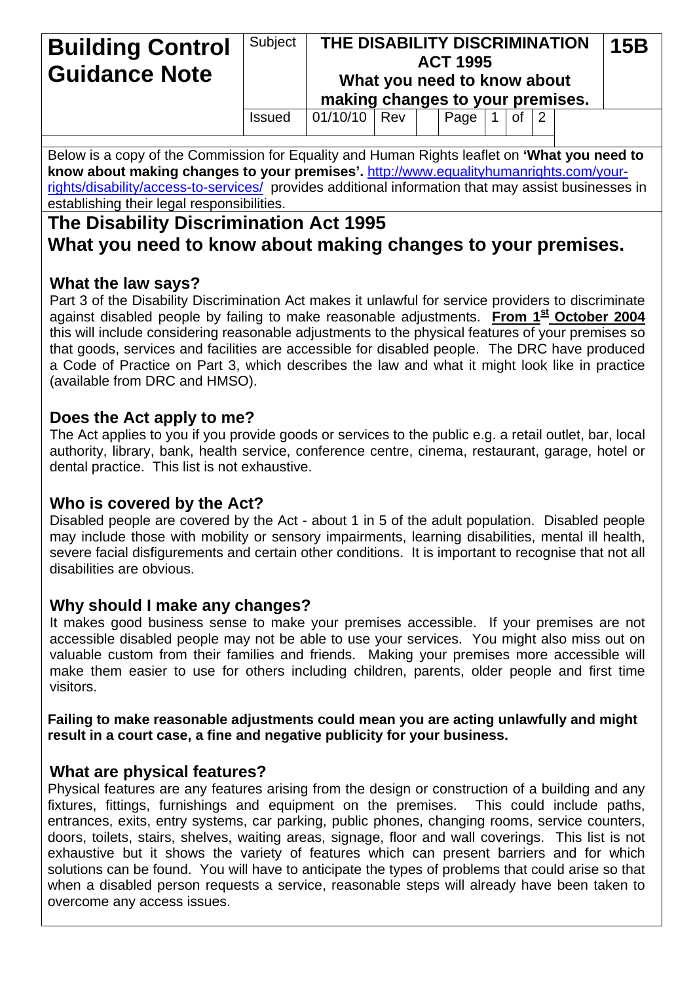#### Subject **THE DISABILITY DISCRIMINATION ACT 1995 What you need to know about making changes to your premises. Building Control**  $|$  Subject  $|$  THE DISABILITY DISCRIMINATION 15B **Guidance Note**  Issued  $\vert 01/10/10 \vert$  Rev  $\vert$  Page 1 of 2

Below is a copy of the Commission for Equality and Human Rights leaflet on **'What you need to know about making changes to your premises'.** [http://www.equalityhumanrights.com/your](http://www.equalityhumanrights.com/your-rights/disability/access-to-services/)[rights/disability/access-to-services/](http://www.equalityhumanrights.com/your-rights/disability/access-to-services/) provides additional information that may assist businesses in establishing their legal responsibilities.

# **The Disability Discrimination Act 1995 What you need to know about making changes to your premises.**

# **What the law says?**

Part 3 of the Disability Discrimination Act makes it unlawful for service providers to discriminate against disabled people by failing to make reasonable adjustments. **From 1<sup>st</sup> October 2004** this will include considering reasonable adjustments to the physical features of your premises so that goods, services and facilities are accessible for disabled people. The DRC have produced a Code of Practice on Part 3, which describes the law and what it might look like in practice (available from DRC and HMSO).

# **Does the Act apply to me?**

The Act applies to you if you provide goods or services to the public e.g. a retail outlet, bar, local authority, library, bank, health service, conference centre, cinema, restaurant, garage, hotel or dental practice. This list is not exhaustive.

# **Who is covered by the Act?**

Disabled people are covered by the Act - about 1 in 5 of the adult population. Disabled people may include those with mobility or sensory impairments, learning disabilities, mental ill health, severe facial disfigurements and certain other conditions. It is important to recognise that not all disabilities are obvious.

# **Why should I make any changes?**

It makes good business sense to make your premises accessible. If your premises are not accessible disabled people may not be able to use your services. You might also miss out on valuable custom from their families and friends. Making your premises more accessible will make them easier to use for others including children, parents, older people and first time visitors.

#### **Failing to make reasonable adjustments could mean you are acting unlawfully and might result in a court case, a fine and negative publicity for your business.**

# **What are physical features?**

Physical features are any features arising from the design or construction of a building and any fixtures, fittings, furnishings and equipment on the premises. This could include paths, entrances, exits, entry systems, car parking, public phones, changing rooms, service counters, doors, toilets, stairs, shelves, waiting areas, signage, floor and wall coverings. This list is not exhaustive but it shows the variety of features which can present barriers and for which solutions can be found. You will have to anticipate the types of problems that could arise so that when a disabled person requests a service, reasonable steps will already have been taken to overcome any access issues.